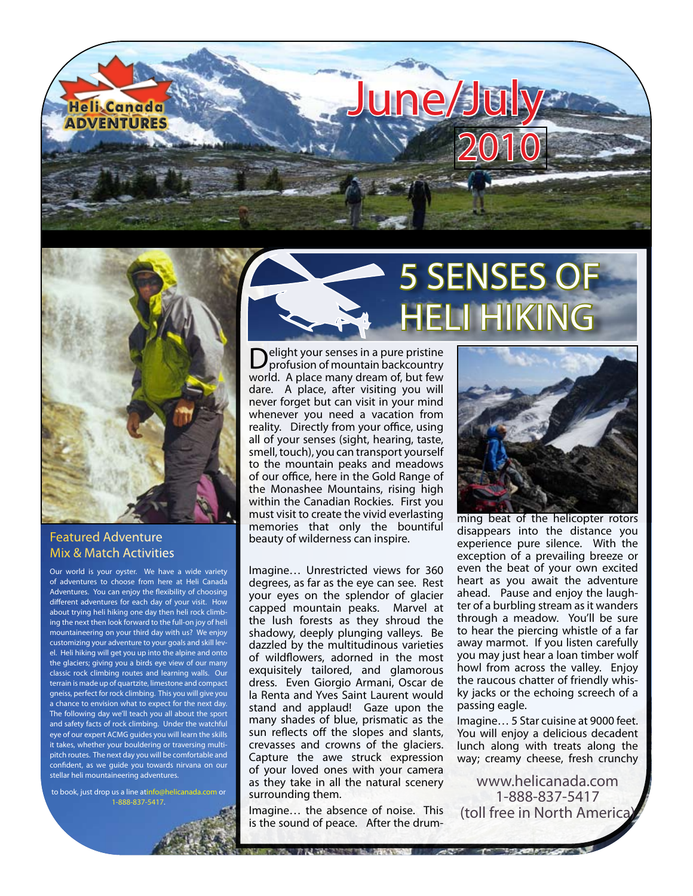



### Featured Adventure Mix & Match Activities

Our world is your oyster. We have a wide variety of adventures to choose from here at Heli Canada Adventures. You can enjoy the flexibility of choosing different adventures for each day of your visit. How about trying heli hiking one day then heli rock climbing the next then look forward to the full-on joy of heli mountaineering on your third day with us? We enjoy customizing your adventure to your goals and skill level. Heli hiking will get you up into the alpine and onto the glaciers; giving you a birds eye view of our many classic rock climbing routes and learning walls. Our terrain is made up of quartzite, limestone and compact gneiss, perfect for rock climbing. This you will give you a chance to envision what to expect for the next day. The following day we'll teach you all about the sport and safety facts of rock climbing. Under the watchful eye of our expert ACMG guides you will learn the skills it takes, whether your bouldering or traversing multipitch routes. The next day you will be comfortable and confident, as we guide you towards nirvana on our stellar heli mountaineering adventures.

to book, just drop us a line a[tinfo@helicanada.com](mailto:info@helicanada.com) or 1-888-837-5417.



**D**elight your senses in a pure pristine<br>profusion of mountain backcountry world. A place many dream of, but few dare. A place, after visiting you will never forget but can visit in your mind whenever you need a vacation from reality. Directly from your office, using all of your senses (sight, hearing, taste, smell, touch), you can transport yourself to the mountain peaks and meadows of our office, here in the Gold Range of the Monashee Mountains, rising high within the Canadian Rockies. First you must visit to create the vivid everlasting memories that only the bountiful beauty of wilderness can inspire.

Imagine… Unrestricted views for 360 degrees, as far as the eye can see. Rest your eyes on the splendor of glacier capped mountain peaks. Marvel at the lush forests as they shroud the shadowy, deeply plunging valleys. Be dazzled by the multitudinous varieties of wildflowers, adorned in the most exquisitely tailored, and glamorous dress. Even Giorgio Armani, Oscar de la Renta and Yves Saint Laurent would stand and applaud! Gaze upon the many shades of blue, prismatic as the sun reflects off the slopes and slants, crevasses and crowns of the glaciers. Capture the awe struck expression of your loved ones with your camera as they take in all the natural scenery surrounding them.

Imagine… the absence of noise. This is the sound of peace. After the drum-

NAME OF STREET WAS COLLECTED FOR ASSESSED.



ming beat of the helicopter rotors disappears into the distance you experience pure silence. With the exception of a prevailing breeze or even the beat of your own excited heart as you await the adventure ahead. Pause and enjoy the laughter of a burbling stream as it wanders through a meadow. You'll be sure to hear the piercing whistle of a far away marmot. If you listen carefully you may just hear a loan timber wolf howl from across the valley. Enjoy the raucous chatter of friendly whisky jacks or the echoing screech of a passing eagle.

Imagine… 5 Star cuisine at 9000 feet. You will enjoy a delicious decadent lunch along with treats along the way; creamy cheese, fresh crunchy

[www.helicanada.com](http://www.helicanada.com) 1-888-837-5417 (toll free in North America)